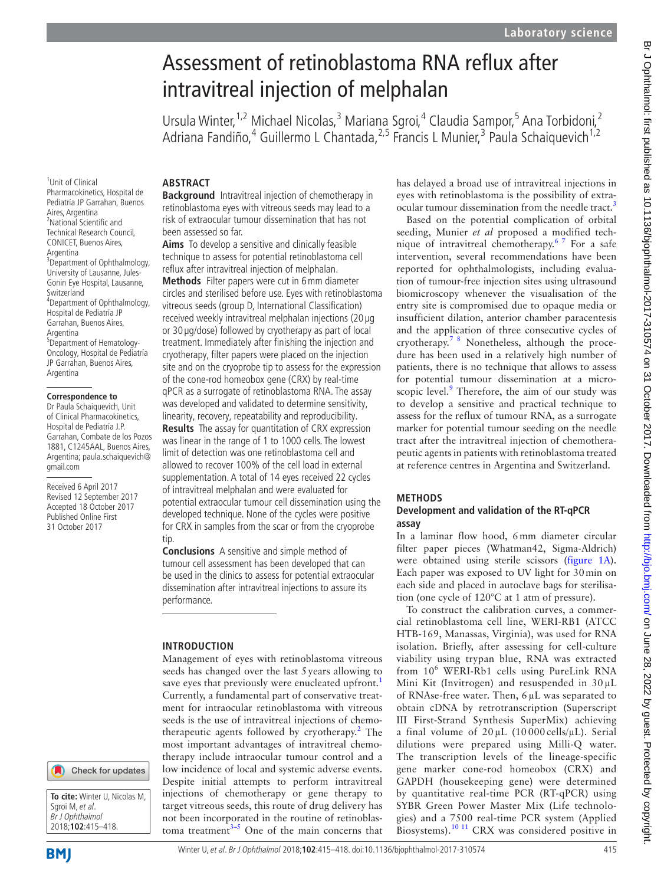# Assessment of retinoblastoma RNA reflux after intravitreal injection of melphalan

Ursula Winter,<sup>1,2</sup> Michael Nicolas,<sup>3</sup> Mariana Sgroi,<sup>4</sup> Claudia Sampor,<sup>5</sup> Ana Torbidoni,<sup>2</sup> Adriana Fandiño,<sup>4</sup> Guillermo L Chantada,<sup>2,5</sup> Francis L Munier,<sup>3</sup> Paula Schaiquevich<sup>1,2</sup>

<sup>1</sup>Unit of Clinical Pharmacokinetics, Hospital de Pediatría JP Garrahan, Buenos Aires, Argentina <sup>2</sup>National Scientific and Technical Research Council, CONICET, Buenos Aires, Argentina <sup>3</sup>Department of Ophthalmology, University of Lausanne, Jules-Gonin Eye Hospital, Lausanne, **Switzerland** 4 Department of Ophthalmology, Hospital de Pediatría JP Garrahan, Buenos Aires, Argentina <sup>5</sup>Department of Hematology-Oncology, Hospital de Pediatría JP Garrahan, Buenos Aires, Argentina

#### **Correspondence to**

Dr Paula Schaiquevich, Unit of Clinical Pharmacokinetics, Hospital de Pediatría J.P. Garrahan, Combate de los Pozos 1881, C1245AAL, Buenos Aires, Argentina; paula.schaiquevich@ gmail.com

Received 6 April 2017 Revised 12 September 2017 Accepted 18 October 2017 Published Online First 31 October 2017





## **Abstract**

**Background** Intravitreal injection of chemotherapy in retinoblastoma eyes with vitreous seeds may lead to a risk of extraocular tumour dissemination that has not been assessed so far.

**Aims** To develop a sensitive and clinically feasible technique to assess for potential retinoblastoma cell reflux after intravitreal injection of melphalan.

**Methods** Filter papers were cut in 6mm diameter circles and sterilised before use. Eyes with retinoblastoma vitreous seeds (group D, International Classification) received weekly intravitreal melphalan injections (20 µg or 30 µg/dose) followed by cryotherapy as part of local treatment. Immediately after finishing the injection and cryotherapy, filter papers were placed on the injection site and on the cryoprobe tip to assess for the expression of the cone-rod homeobox gene (CRX) by real-time qPCR as a surrogate of retinoblastoma RNA. The assay was developed and validated to determine sensitivity, linearity, recovery, repeatability and reproducibility. **Results** The assay for quantitation of CRX expression was linear in the range of 1 to 1000 cells. The lowest limit of detection was one retinoblastoma cell and allowed to recover 100% of the cell load in external supplementation. A total of 14 eyes received 22 cycles of intravitreal melphalan and were evaluated for potential extraocular tumour cell dissemination using the developed technique. None of the cycles were positive for CRX in samples from the scar or from the cryoprobe tip.

**Conclusions** A sensitive and simple method of tumour cell assessment has been developed that can be used in the clinics to assess for potential extraocular dissemination after intravitreal injections to assure its performance.

### **Introduction**

Management of eyes with retinoblastoma vitreous seeds has changed over the last 5years allowing to save eyes that previously were enucleated upfront.<sup>[1](#page-3-0)</sup> Currently, a fundamental part of conservative treatment for intraocular retinoblastoma with vitreous seeds is the use of intravitreal injections of chemo-therapeutic agents followed by cryotherapy.<sup>[2](#page-3-1)</sup> The most important advantages of intravitreal chemotherapy include intraocular tumour control and a low incidence of local and systemic adverse events. Despite initial attempts to perform intravitreal injections of chemotherapy or gene therapy to target vitreous seeds, this route of drug delivery has not been incorporated in the routine of retinoblastoma treatment $3-5$  One of the main concerns that

has delayed a broad use of intravitreal injections in eyes with retinoblastoma is the possibility of extra-ocular tumour dissemination from the needle tract.<sup>[3](#page-3-2)</sup>

Based on the potential complication of orbital seeding, Munier *et al* proposed a modified tech-nique of intravitreal chemotherapy.<sup>[6 7](#page-3-3)</sup> For a safe intervention, several recommendations have been reported for ophthalmologists, including evaluation of tumour-free injection sites using ultrasound biomicroscopy whenever the visualisation of the entry site is compromised due to opaque media or insufficient dilation, anterior chamber paracentesis and the application of three consecutive cycles of cryotherapy.[7 8](#page-3-4) Nonetheless, although the procedure has been used in a relatively high number of patients, there is no technique that allows to assess for potential tumour dissemination at a micro-scopic level.<sup>[9](#page-3-5)</sup> Therefore, the aim of our study was to develop a sensitive and practical technique to assess for the reflux of tumour RNA, as a surrogate marker for potential tumour seeding on the needle tract after the intravitreal injection of chemotherapeutic agents in patients with retinoblastoma treated at reference centres in Argentina and Switzerland.

### **Methods**

### **Development and validation of the RT-qPCR assay**

In a laminar flow hood, 6mm diameter circular filter paper pieces (Whatman42, Sigma-Aldrich) were obtained using sterile scissors ([figure](#page-1-0) 1A). Each paper was exposed to UV light for 30min on each side and placed in autoclave bags for sterilisation (one cycle of 120°C at 1 atm of pressure).

To construct the calibration curves, a commercial retinoblastoma cell line, WERI-RB1 (ATCC HTB-169, Manassas, Virginia), was used for RNA isolation. Briefly, after assessing for cell-culture viability using trypan blue, RNA was extracted from  $10^6$  WERI-Rb1 cells using PureLink RNA Mini Kit (Invitrogen) and resuspended in 30 µL of RNAse-free water. Then, 6 µL was separated to obtain cDNA by retrotranscription (Superscript III First-Strand Synthesis SuperMix) achieving a final volume of  $20 \mu L$  (10000 cells/ $\mu L$ ). Serial dilutions were prepared using Milli-Q water. The transcription levels of the lineage-specific gene marker cone-rod homeobox (CRX) and GAPDH (housekeeping gene) were determined by quantitative real-time PCR (RT-qPCR) using SYBR Green Power Master Mix (Life technologies) and a 7500 real-time PCR system (Applied Biosystems).<sup>10 11</sup> CRX was considered positive in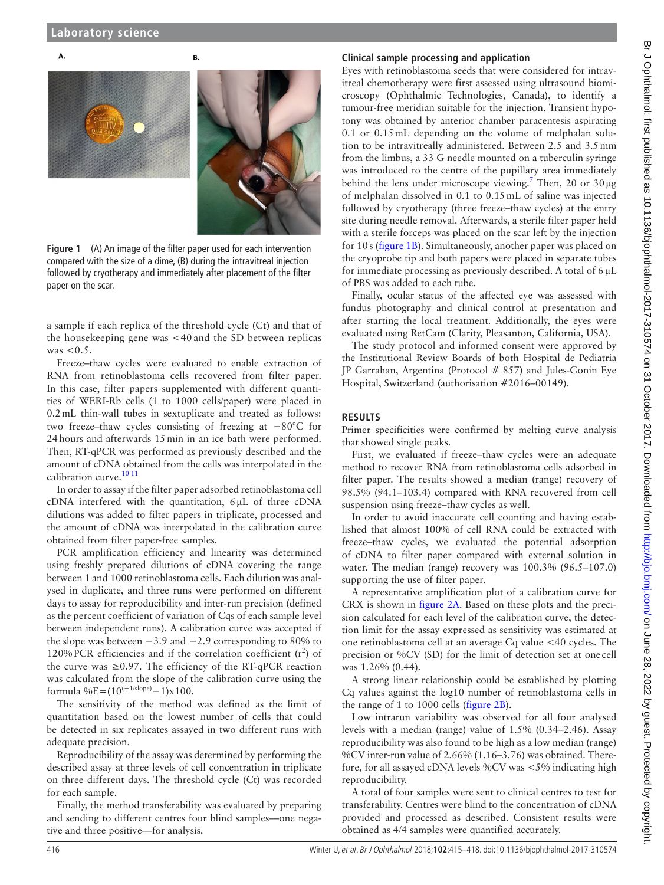A.





**Figure 1** (A) An image of the filter paper used for each intervention compared with the size of a dime, (B) during the intravitreal injection followed by cryotherapy and immediately after placement of the filter paper on the scar.

R.

<span id="page-1-0"></span>a sample if each replica of the threshold cycle (Ct) and that of the housekeeping gene was <40 and the SD between replicas was  $< 0.5$ .

Freeze–thaw cycles were evaluated to enable extraction of RNA from retinoblastoma cells recovered from filter paper. In this case, filter papers supplemented with different quantities of WERI-Rb cells (1 to 1000 cells/paper) were placed in 0.2mL thin-wall tubes in sextuplicate and treated as follows: two freeze–thaw cycles consisting of freezing at −80°C for 24hours and afterwards 15min in an ice bath were performed. Then, RT-qPCR was performed as previously described and the amount of cDNA obtained from the cells was interpolated in the calibration curve.<sup>10 11</sup>

In order to assay if the filter paper adsorbed retinoblastoma cell cDNA interfered with the quantitation, 6µL of three cDNA dilutions was added to filter papers in triplicate, processed and the amount of cDNA was interpolated in the calibration curve obtained from filter paper-free samples.

PCR amplification efficiency and linearity was determined using freshly prepared dilutions of cDNA covering the range between 1 and 1000 retinoblastoma cells. Each dilution was analysed in duplicate, and three runs were performed on different days to assay for reproducibility and inter-run precision (defined as the percent coefficient of variation of Cqs of each sample level between independent runs). A calibration curve was accepted if the slope was between −3.9 and −2.9 corresponding to 80% to 120% PCR efficiencies and if the correlation coefficient  $(r^2)$  of the curve was  $\geq$  0.97. The efficiency of the RT-qPCR reaction was calculated from the slope of the calibration curve using the formula %E= $(10^{(-1/\text{slope})}-1)x100$ .

The sensitivity of the method was defined as the limit of quantitation based on the lowest number of cells that could be detected in six replicates assayed in two different runs with adequate precision.

Reproducibility of the assay was determined by performing the described assay at three levels of cell concentration in triplicate on three different days. The threshold cycle (Ct) was recorded for each sample.

Finally, the method transferability was evaluated by preparing and sending to different centres four blind samples—one negative and three positive—for analysis.

#### **Clinical sample processing and application**

Eyes with retinoblastoma seeds that were considered for intravitreal chemotherapy were first assessed using ultrasound biomicroscopy (Ophthalmic Technologies, Canada), to identify a tumour-free meridian suitable for the injection. Transient hypotony was obtained by anterior chamber paracentesis aspirating 0.1 or 0.15mL depending on the volume of melphalan solution to be intravitreally administered. Between 2.5 and 3.5mm from the limbus, a 33 G needle mounted on a tuberculin syringe was introduced to the centre of the pupillary area immediately behind the lens under microscope viewing.<sup>[7](#page-3-4)</sup> Then, 20 or 30  $\mu$ g of melphalan dissolved in 0.1 to 0.15mL of saline was injected followed by cryotherapy (three freeze–thaw cycles) at the entry site during needle removal. Afterwards, a sterile filter paper held with a sterile forceps was placed on the scar left by the injection for 10s ([figure](#page-1-0) 1B). Simultaneously, another paper was placed on the cryoprobe tip and both papers were placed in separate tubes for immediate processing as previously described. A total of  $6 \mu L$ of PBS was added to each tube.

Finally, ocular status of the affected eye was assessed with fundus photography and clinical control at presentation and after starting the local treatment. Additionally, the eyes were evaluated using RetCam (Clarity, Pleasanton, California, USA).

The study protocol and informed consent were approved by the Institutional Review Boards of both Hospital de Pediatria JP Garrahan, Argentina (Protocol # 857) and Jules-Gonin Eye Hospital, Switzerland (authorisation #2016–00149).

#### **Results**

Primer specificities were confirmed by melting curve analysis that showed single peaks.

First, we evaluated if freeze–thaw cycles were an adequate method to recover RNA from retinoblastoma cells adsorbed in filter paper. The results showed a median (range) recovery of 98.5% (94.1–103.4) compared with RNA recovered from cell suspension using freeze–thaw cycles as well.

In order to avoid inaccurate cell counting and having established that almost 100% of cell RNA could be extracted with freeze–thaw cycles, we evaluated the potential adsorption of cDNA to filter paper compared with external solution in water. The median (range) recovery was 100.3% (96.5–107.0) supporting the use of filter paper.

A representative amplification plot of a calibration curve for CRX is shown in [figure](#page-2-0) 2A. Based on these plots and the precision calculated for each level of the calibration curve, the detection limit for the assay expressed as sensitivity was estimated at one retinoblastoma cell at an average Cq value <40 cycles. The precision or %CV (SD) for the limit of detection set at one cell was 1.26% (0.44).

A strong linear relationship could be established by plotting Cq values against the log10 number of retinoblastoma cells in the range of 1 to 1000 cells [\(figure](#page-2-0) 2B).

Low intrarun variability was observed for all four analysed levels with a median (range) value of 1.5% (0.34–2.46). Assay reproducibility was also found to be high as a low median (range) %CV inter-run value of 2.66% (1.16–3.76) was obtained. Therefore, for all assayed cDNA levels %CV was <5% indicating high reproducibility.

A total of four samples were sent to clinical centres to test for transferability. Centres were blind to the concentration of cDNA provided and processed as described. Consistent results were obtained as 4/4 samples were quantified accurately.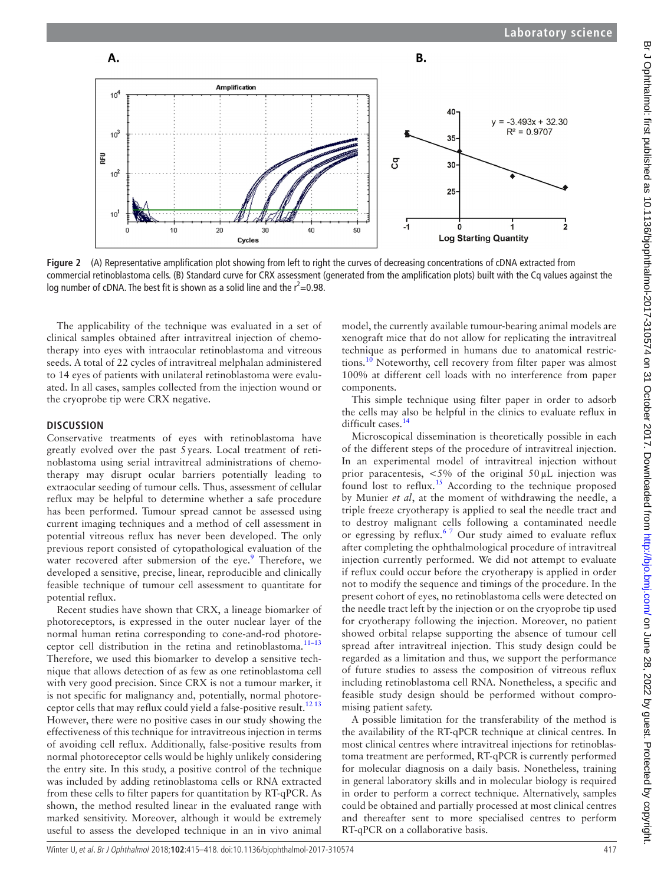

<span id="page-2-0"></span>**Figure 2** (A) Representative amplification plot showing from left to right the curves of decreasing concentrations of cDNA extracted from commercial retinoblastoma cells. (B) Standard curve for CRX assessment (generated from the amplification plots) built with the Cq values against the log number of cDNA. The best fit is shown as a solid line and the  $r^2$ =0.98.

The applicability of the technique was evaluated in a set of clinical samples obtained after intravitreal injection of chemotherapy into eyes with intraocular retinoblastoma and vitreous seeds. A total of 22 cycles of intravitreal melphalan administered to 14 eyes of patients with unilateral retinoblastoma were evaluated. In all cases, samples collected from the injection wound or the cryoprobe tip were CRX negative.

#### **Discussion**

Conservative treatments of eyes with retinoblastoma have greatly evolved over the past 5years. Local treatment of retinoblastoma using serial intravitreal administrations of chemotherapy may disrupt ocular barriers potentially leading to extraocular seeding of tumour cells. Thus, assessment of cellular reflux may be helpful to determine whether a safe procedure has been performed. Tumour spread cannot be assessed using current imaging techniques and a method of cell assessment in potential vitreous reflux has never been developed. The only previous report consisted of cytopathological evaluation of the water recovered after submersion of the eye.<sup>[9](#page-3-5)</sup> Therefore, we developed a sensitive, precise, linear, reproducible and clinically feasible technique of tumour cell assessment to quantitate for potential reflux.

Recent studies have shown that CRX, a lineage biomarker of photoreceptors, is expressed in the outer nuclear layer of the normal human retina corresponding to cone-and-rod photoreceptor cell distribution in the retina and retinoblastoma.<sup>11-13</sup> Therefore, we used this biomarker to develop a sensitive technique that allows detection of as few as one retinoblastoma cell with very good precision. Since CRX is not a tumour marker, it is not specific for malignancy and, potentially, normal photore-ceptor cells that may reflux could yield a false-positive result.<sup>[12 13](#page-3-8)</sup> However, there were no positive cases in our study showing the effectiveness of this technique for intravitreous injection in terms of avoiding cell reflux. Additionally, false-positive results from normal photoreceptor cells would be highly unlikely considering the entry site. In this study, a positive control of the technique was included by adding retinoblastoma cells or RNA extracted from these cells to filter papers for quantitation by RT-qPCR. As shown, the method resulted linear in the evaluated range with marked sensitivity. Moreover, although it would be extremely useful to assess the developed technique in an in vivo animal model, the currently available tumour-bearing animal models are xenograft mice that do not allow for replicating the intravitreal technique as performed in humans due to anatomical restrictions.[10](#page-3-6) Noteworthy, cell recovery from filter paper was almost 100% at different cell loads with no interference from paper components.

This simple technique using filter paper in order to adsorb the cells may also be helpful in the clinics to evaluate reflux in difficult cases.<sup>14</sup>

Microscopical dissemination is theoretically possible in each of the different steps of the procedure of intravitreal injection. In an experimental model of intravitreal injection without prior paracentesis,  $\langle 5\% \rangle$  of the original  $50 \mu$ L injection was found lost to reflux.[15](#page-3-10) According to the technique proposed by Munier *et al*, at the moment of withdrawing the needle, a triple freeze cryotherapy is applied to seal the needle tract and to destroy malignant cells following a contaminated needle or egressing by reflux.<sup>67</sup> Our study aimed to evaluate reflux after completing the ophthalmological procedure of intravitreal injection currently performed. We did not attempt to evaluate if reflux could occur before the cryotherapy is applied in order not to modify the sequence and timings of the procedure. In the present cohort of eyes, no retinoblastoma cells were detected on the needle tract left by the injection or on the cryoprobe tip used for cryotherapy following the injection. Moreover, no patient showed orbital relapse supporting the absence of tumour cell spread after intravitreal injection. This study design could be regarded as a limitation and thus, we support the performance of future studies to assess the composition of vitreous reflux including retinoblastoma cell RNA. Nonetheless, a specific and feasible study design should be performed without compromising patient safety.

A possible limitation for the transferability of the method is the availability of the RT-qPCR technique at clinical centres. In most clinical centres where intravitreal injections for retinoblastoma treatment are performed, RT-qPCR is currently performed for molecular diagnosis on a daily basis. Nonetheless, training in general laboratory skills and in molecular biology is required in order to perform a correct technique. Alternatively, samples could be obtained and partially processed at most clinical centres and thereafter sent to more specialised centres to perform RT-qPCR on a collaborative basis.